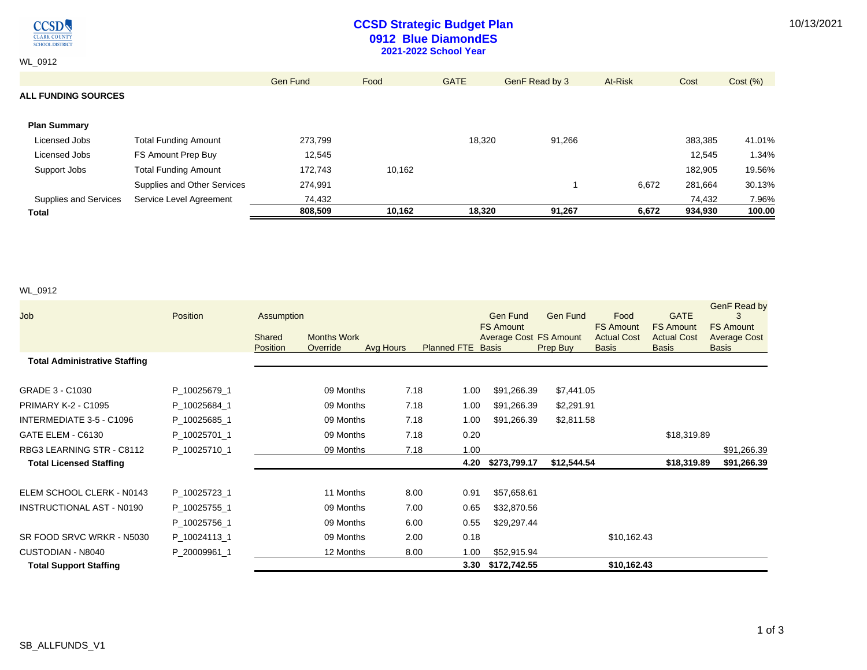10/13/2021



## **CCSD Strategic Budget Plan 0912 Blue DiamondES 2021-2022 School Year**

WL\_0912

|                            |                             | Gen Fund | Food   | <b>GATE</b> | GenF Read by 3 | At-Risk | Cost    | Cost (%) |
|----------------------------|-----------------------------|----------|--------|-------------|----------------|---------|---------|----------|
| <b>ALL FUNDING SOURCES</b> |                             |          |        |             |                |         |         |          |
|                            |                             |          |        |             |                |         |         |          |
| <b>Plan Summary</b>        |                             |          |        |             |                |         |         |          |
| Licensed Jobs              | <b>Total Funding Amount</b> | 273,799  |        | 18,320      | 91,266         |         | 383,385 | 41.01%   |
| Licensed Jobs              | FS Amount Prep Buy          | 12,545   |        |             |                |         | 12,545  | 1.34%    |
| Support Jobs               | <b>Total Funding Amount</b> | 172,743  | 10,162 |             |                |         | 182,905 | 19.56%   |
|                            | Supplies and Other Services | 274,991  |        |             |                | 6,672   | 281,664 | 30.13%   |
| Supplies and Services      | Service Level Agreement     | 74,432   |        |             |                |         | 74,432  | 7.96%    |
| <b>Total</b>               |                             | 808,509  | 10,162 | 18,320      | 91,267         | 6,672   | 934,930 | 100.00   |

### WL\_0912

| Job                                  | Position     | Assumption         |                                |           |                          | Gen Fund                                          | <b>Gen Fund</b> | Food                                                   | <b>GATE</b>                                            | GenF Read by                                            |
|--------------------------------------|--------------|--------------------|--------------------------------|-----------|--------------------------|---------------------------------------------------|-----------------|--------------------------------------------------------|--------------------------------------------------------|---------------------------------------------------------|
|                                      |              | Shared<br>Position | <b>Months Work</b><br>Override | Avg Hours | <b>Planned FTE Basis</b> | <b>FS Amount</b><br><b>Average Cost FS Amount</b> | Prep Buy        | <b>FS Amount</b><br><b>Actual Cost</b><br><b>Basis</b> | <b>FS Amount</b><br><b>Actual Cost</b><br><b>Basis</b> | <b>FS Amount</b><br><b>Average Cost</b><br><b>Basis</b> |
| <b>Total Administrative Staffing</b> |              |                    |                                |           |                          |                                                   |                 |                                                        |                                                        |                                                         |
| GRADE 3 - C1030                      | P_10025679_1 |                    | 09 Months                      | 7.18      | 1.00                     | \$91,266.39                                       | \$7,441.05      |                                                        |                                                        |                                                         |
| <b>PRIMARY K-2 - C1095</b>           | P_10025684_1 |                    | 09 Months                      | 7.18      | 1.00                     | \$91,266.39                                       | \$2,291.91      |                                                        |                                                        |                                                         |
| INTERMEDIATE 3-5 - C1096             | P 10025685 1 |                    | 09 Months                      | 7.18      | 1.00                     | \$91,266.39                                       | \$2,811.58      |                                                        |                                                        |                                                         |
| GATE ELEM - C6130                    | P_10025701_1 |                    | 09 Months                      | 7.18      | 0.20                     |                                                   |                 |                                                        | \$18,319.89                                            |                                                         |
| RBG3 LEARNING STR - C8112            | P_10025710_1 |                    | 09 Months                      | 7.18      | 1.00                     |                                                   |                 |                                                        |                                                        | \$91,266.39                                             |
| <b>Total Licensed Staffing</b>       |              |                    |                                |           | 4.20                     | \$273,799.17                                      | \$12,544.54     |                                                        | \$18,319.89                                            | \$91,266.39                                             |
| ELEM SCHOOL CLERK - N0143            | P_10025723_1 |                    | 11 Months                      | 8.00      | 0.91                     | \$57,658.61                                       |                 |                                                        |                                                        |                                                         |
| <b>INSTRUCTIONAL AST - N0190</b>     | P_10025755_1 |                    | 09 Months                      | 7.00      | 0.65                     | \$32,870.56                                       |                 |                                                        |                                                        |                                                         |
|                                      | P_10025756_1 |                    | 09 Months                      | 6.00      | 0.55                     | \$29,297.44                                       |                 |                                                        |                                                        |                                                         |
| SR FOOD SRVC WRKR - N5030            | P_10024113_1 |                    | 09 Months                      | 2.00      | 0.18                     |                                                   |                 | \$10,162.43                                            |                                                        |                                                         |
| CUSTODIAN - N8040                    | P 20009961 1 |                    | 12 Months                      | 8.00      | 1.00                     | \$52,915.94                                       |                 |                                                        |                                                        |                                                         |
| <b>Total Support Staffing</b>        |              |                    |                                |           | 3.30                     | \$172,742.55                                      |                 | \$10,162.43                                            |                                                        |                                                         |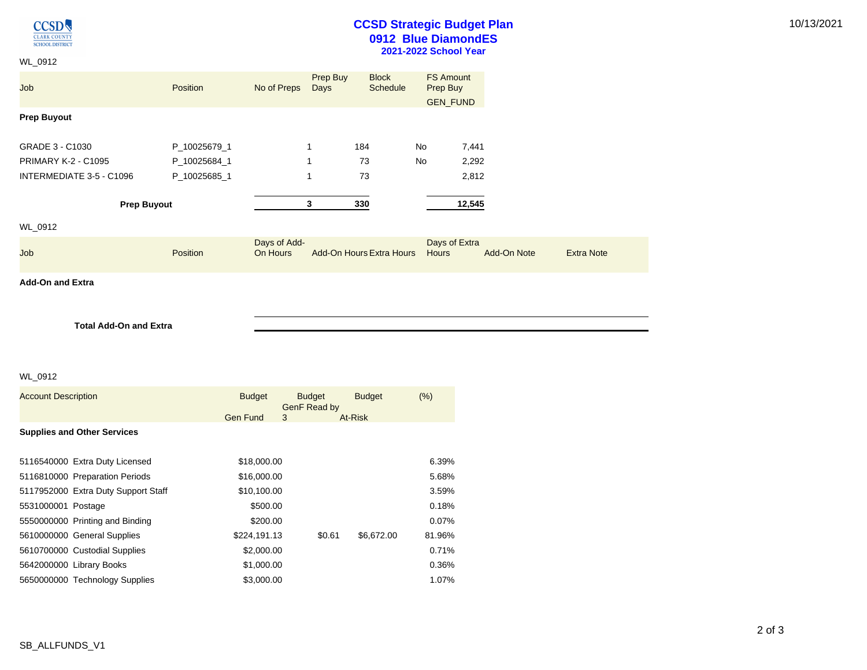**CCSD** CLARK COUNTY **SCHOOL DISTRICT** 

## **CCSD Strategic Budget Plan 0912 Blue DiamondES 2021-2022 School Year**

10/13/2021

| WL_0912                    |                 |                          |                  |                                 |    |                               |             |                   |
|----------------------------|-----------------|--------------------------|------------------|---------------------------------|----|-------------------------------|-------------|-------------------|
| Job                        | <b>Position</b> | No of Preps              | Prep Buy<br>Days | <b>Block</b><br><b>Schedule</b> |    | <b>FS Amount</b><br>Prep Buy  |             |                   |
| <b>Prep Buyout</b>         |                 |                          |                  |                                 |    | <b>GEN_FUND</b>               |             |                   |
| GRADE 3 - C1030            | P_10025679_1    |                          |                  | 184                             | No | 7,441                         |             |                   |
| <b>PRIMARY K-2 - C1095</b> | P_10025684_1    |                          | 1                | 73                              | No | 2,292                         |             |                   |
| INTERMEDIATE 3-5 - C1096   | P_10025685_1    |                          | 1                | 73                              |    | 2,812                         |             |                   |
| <b>Prep Buyout</b>         |                 |                          | 3                | 330                             |    | 12,545                        |             |                   |
| WL_0912                    |                 |                          |                  |                                 |    |                               |             |                   |
| Job                        | Position        | Days of Add-<br>On Hours |                  | Add-On Hours Extra Hours        |    | Days of Extra<br><b>Hours</b> | Add-On Note | <b>Extra Note</b> |
| <b>Add-On and Extra</b>    |                 |                          |                  |                                 |    |                               |             |                   |

**Total Add-On and Extra**

#### WL\_0912

| <b>Account Description</b> |                                     | <b>Budget</b>   | <b>Budget</b><br>GenF Read by |        | <b>Budget</b> | (% )   |
|----------------------------|-------------------------------------|-----------------|-------------------------------|--------|---------------|--------|
|                            |                                     | <b>Gen Fund</b> | 3                             |        | At-Risk       |        |
|                            | <b>Supplies and Other Services</b>  |                 |                               |        |               |        |
|                            |                                     |                 |                               |        |               |        |
|                            | 5116540000 Extra Duty Licensed      | \$18,000.00     |                               |        |               | 6.39%  |
|                            | 5116810000 Preparation Periods      | \$16,000.00     |                               |        |               | 5.68%  |
|                            | 5117952000 Extra Duty Support Staff | \$10,100.00     |                               |        |               | 3.59%  |
| 5531000001 Postage         |                                     | \$500.00        |                               |        |               | 0.18%  |
|                            | 5550000000 Printing and Binding     | \$200.00        |                               |        |               | 0.07%  |
|                            | 5610000000 General Supplies         | \$224,191.13    |                               | \$0.61 | \$6,672.00    | 81.96% |
|                            | 5610700000 Custodial Supplies       | \$2,000.00      |                               |        |               | 0.71%  |
|                            | 5642000000 Library Books            | \$1,000.00      |                               |        |               | 0.36%  |
|                            | 5650000000 Technology Supplies      | \$3,000.00      |                               |        |               | 1.07%  |